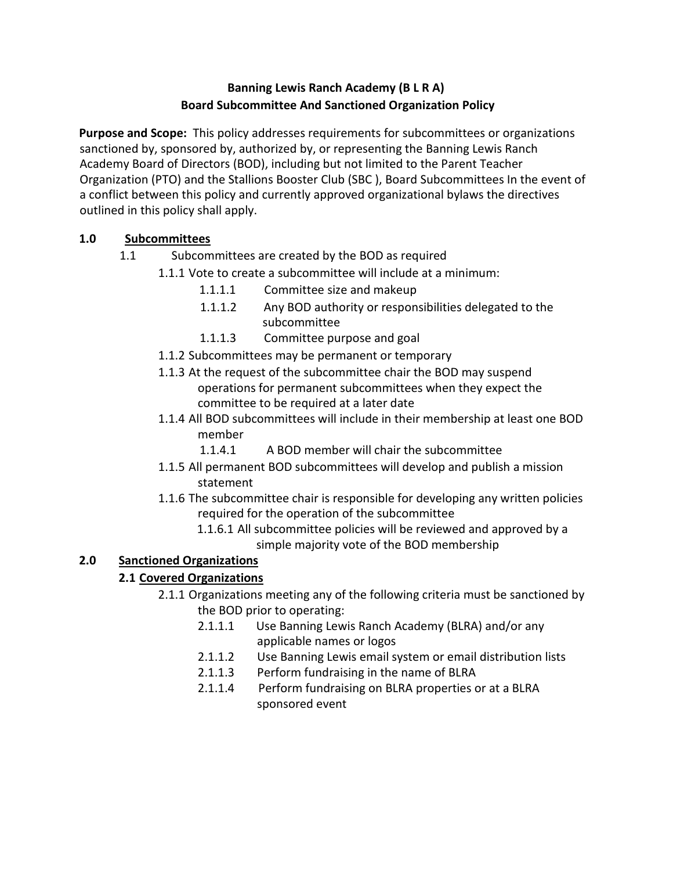# **Banning Lewis Ranch Academy (B L R A) Board Subcommittee And Sanctioned Organization Policy**

**Purpose and Scope:** This policy addresses requirements for subcommittees or organizations sanctioned by, sponsored by, authorized by, or representing the Banning Lewis Ranch Academy Board of Directors (BOD), including but not limited to the Parent Teacher Organization (PTO) and the Stallions Booster Club (SBC ), Board Subcommittees In the event of a conflict between this policy and currently approved organizational bylaws the directives outlined in this policy shall apply.

## **1.0 Subcommittees**

- 1.1 Subcommittees are created by the BOD as required
	- 1.1.1 Vote to create a subcommittee will include at a minimum:
		- 1.1.1.1 Committee size and makeup
		- 1.1.1.2 Any BOD authority or responsibilities delegated to the subcommittee
		- 1.1.1.3 Committee purpose and goal
	- 1.1.2 Subcommittees may be permanent or temporary
	- 1.1.3 At the request of the subcommittee chair the BOD may suspend operations for permanent subcommittees when they expect the committee to be required at a later date
	- 1.1.4 All BOD subcommittees will include in their membership at least one BOD member
		- 1.1.4.1 A BOD member will chair the subcommittee
	- 1.1.5 All permanent BOD subcommittees will develop and publish a mission statement
	- 1.1.6 The subcommittee chair is responsible for developing any written policies required for the operation of the subcommittee
		- 1.1.6.1 All subcommittee policies will be reviewed and approved by a simple majority vote of the BOD membership

## **2.0 Sanctioned Organizations**

## **2.1 Covered Organizations**

- 2.1.1 Organizations meeting any of the following criteria must be sanctioned by the BOD prior to operating:
	- 2.1.1.1 Use Banning Lewis Ranch Academy (BLRA) and/or any applicable names or logos
	- 2.1.1.2 Use Banning Lewis email system or email distribution lists
	- 2.1.1.3 Perform fundraising in the name of BLRA
	- 2.1.1.4 Perform fundraising on BLRA properties or at a BLRA sponsored event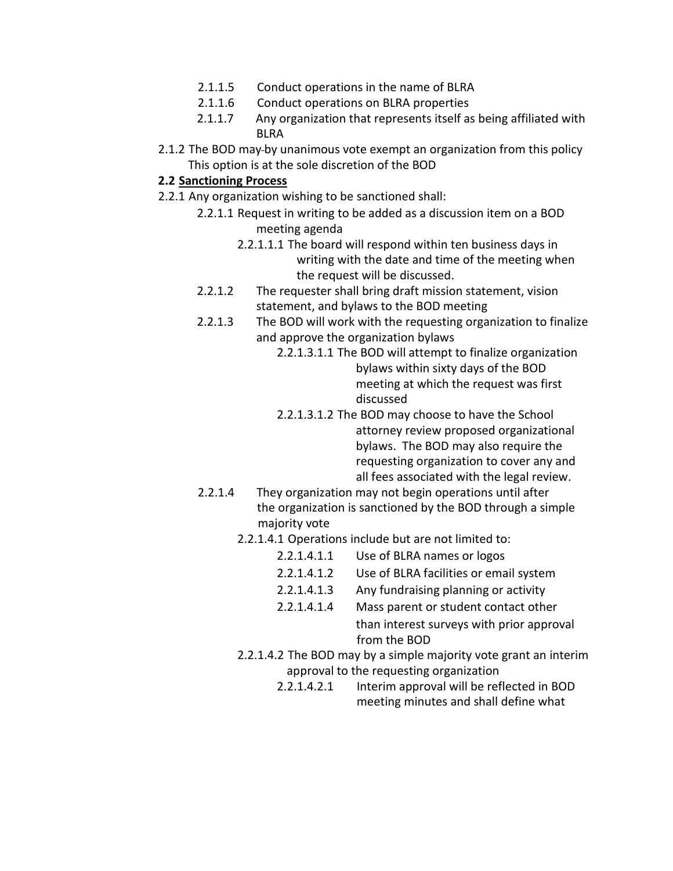- 2.1.1.5 Conduct operations in the name of BLRA
- 2.1.1.6 Conduct operations on BLRA properties
- 2.1.1.7 Any organization that represents itself as being affiliated with BLRA
- 2.1.2 The BOD may-by unanimous vote exempt an organization from this policy This option is at the sole discretion of the BOD

#### **2.2 Sanctioning Process**

- 2.2.1 Any organization wishing to be sanctioned shall:
	- 2.2.1.1 Request in writing to be added as a discussion item on a BOD meeting agenda
		- 2.2.1.1.1 The board will respond within ten business days in writing with the date and time of the meeting when the request will be discussed.
	- 2.2.1.2 The requester shall bring draft mission statement, vision statement, and bylaws to the BOD meeting
	- 2.2.1.3 The BOD will work with the requesting organization to finalize and approve the organization bylaws
		- 2.2.1.3.1.1 The BOD will attempt to finalize organization bylaws within sixty days of the BOD meeting at which the request was first discussed
		- 2.2.1.3.1.2 The BOD may choose to have the School attorney review proposed organizational bylaws. The BOD may also require the requesting organization to cover any and all fees associated with the legal review.
	- 2.2.1.4 They organization may not begin operations until after the organization is sanctioned by the BOD through a simple majority vote
		- 2.2.1.4.1 Operations include but are not limited to:
			- 2.2.1.4.1.1 Use of BLRA names or logos
			- 2.2.1.4.1.2 Use of BLRA facilities or email system
			- 2.2.1.4.1.3 Any fundraising planning or activity
			- 2.2.1.4.1.4 Mass parent or student contact other than interest surveys with prior approval from the BOD
		- 2.2.1.4.2 The BOD may by a simple majority vote grant an interim approval to the requesting organization
			- 2.2.1.4.2.1 Interim approval will be reflected in BOD meeting minutes and shall define what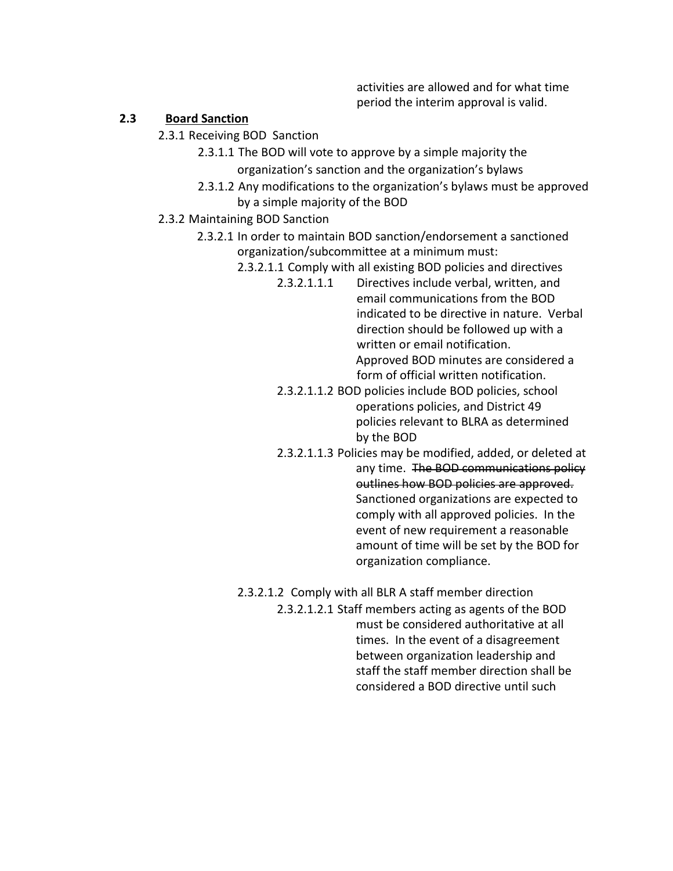activities are allowed and for what time period the interim approval is valid.

#### **2.3 Board Sanction**

- 2.3.1 Receiving BOD Sanction
	- 2.3.1.1 The BOD will vote to approve by a simple majority the organization's sanction and the organization's bylaws
	- 2.3.1.2 Any modifications to the organization's bylaws must be approved by a simple majority of the BOD

#### 2.3.2 Maintaining BOD Sanction

2.3.2.1 In order to maintain BOD sanction/endorsement a sanctioned organization/subcommittee at a minimum must:

- 2.3.2.1.1 Comply with all existing BOD policies and directives
	- 2.3.2.1.1.1 Directives include verbal, written, and email communications from the BOD indicated to be directive in nature. Verbal direction should be followed up with a written or email notification. Approved BOD minutes are considered a form of official written notification.
	- 2.3.2.1.1.2 BOD policies include BOD policies, school operations policies, and District 49 policies relevant to BLRA as determined by the BOD
	- 2.3.2.1.1.3 Policies may be modified, added, or deleted at any time. The BOD communications policy outlines how BOD policies are approved. Sanctioned organizations are expected to comply with all approved policies. In the event of new requirement a reasonable amount of time will be set by the BOD for organization compliance.

2.3.2.1.2 Comply with all BLR A staff member direction

2.3.2.1.2.1 Staff members acting as agents of the BOD must be considered authoritative at all times. In the event of a disagreement between organization leadership and staff the staff member direction shall be considered a BOD directive until such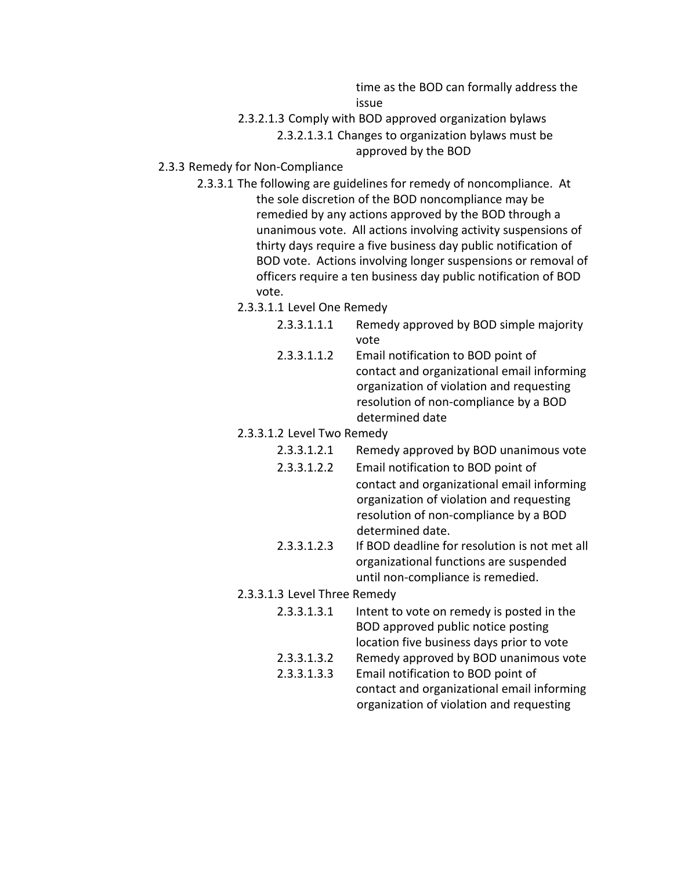time as the BOD can formally address the issue

2.3.2.1.3 Comply with BOD approved organization bylaws

2.3.2.1.3.1 Changes to organization bylaws must be approved by the BOD

- 2.3.3 Remedy for Non-Compliance
	- 2.3.3.1 The following are guidelines for remedy of noncompliance. At the sole discretion of the BOD noncompliance may be remedied by any actions approved by the BOD through a unanimous vote. All actions involving activity suspensions of thirty days require a five business day public notification of BOD vote. Actions involving longer suspensions or removal of officers require a ten business day public notification of BOD vote.
		- 2.3.3.1.1 Level One Remedy
			- 2.3.3.1.1.1 Remedy approved by BOD simple majority vote
			- 2.3.3.1.1.2 Email notification to BOD point of contact and organizational email informing organization of violation and requesting resolution of non-compliance by a BOD determined date
		- 2.3.3.1.2 Level Two Remedy
			- 2.3.3.1.2.1 Remedy approved by BOD unanimous vote
			- 2.3.3.1.2.2 Email notification to BOD point of contact and organizational email informing organization of violation and requesting resolution of non-compliance by a BOD determined date.
			- 2.3.3.1.2.3 If BOD deadline for resolution is not met all organizational functions are suspended until non-compliance is remedied.
		- 2.3.3.1.3 Level Three Remedy
			- 2.3.3.1.3.1 Intent to vote on remedy is posted in the BOD approved public notice posting location five business days prior to vote
			- 2.3.3.1.3.2 Remedy approved by BOD unanimous vote
			- 2.3.3.1.3.3 Email notification to BOD point of contact and organizational email informing organization of violation and requesting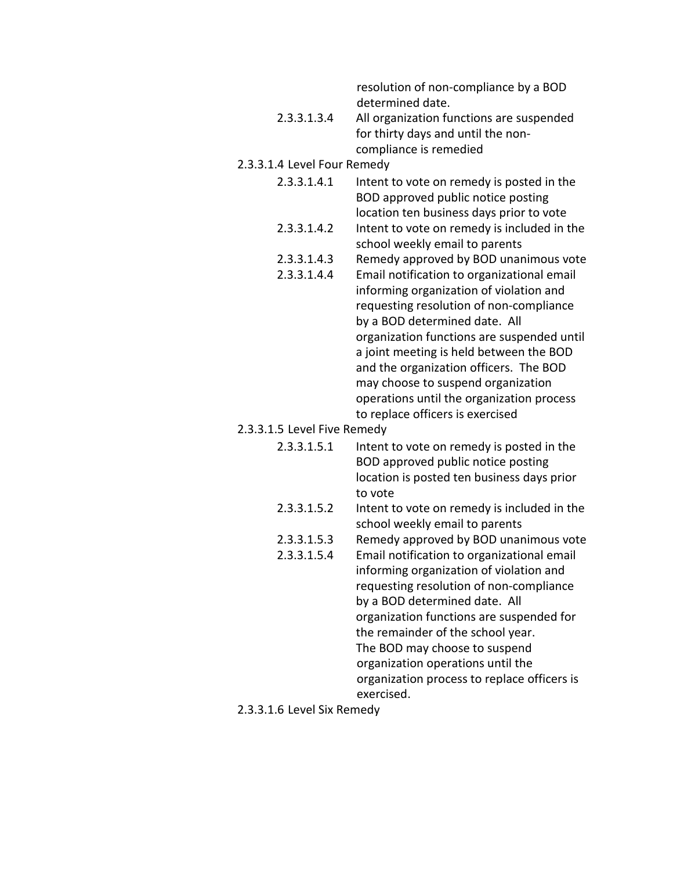resolution of non-compliance by a BOD determined date.

- 2.3.3.1.3.4 All organization functions are suspended for thirty days and until the noncompliance is remedied
- 2.3.3.1.4 Level Four Remedy
	- 2.3.3.1.4.1 Intent to vote on remedy is posted in the BOD approved public notice posting location ten business days prior to vote
	- 2.3.3.1.4.2 Intent to vote on remedy is included in the school weekly email to parents
	- 2.3.3.1.4.3 Remedy approved by BOD unanimous vote
	- 2.3.3.1.4.4 Email notification to organizational email informing organization of violation and requesting resolution of non-compliance by a BOD determined date. All organization functions are suspended until a joint meeting is held between the BOD and the organization officers. The BOD may choose to suspend organization operations until the organization process to replace officers is exercised
- 2.3.3.1.5 Level Five Remedy
	- 2.3.3.1.5.1 Intent to vote on remedy is posted in the BOD approved public notice posting location is posted ten business days prior to vote
	- 2.3.3.1.5.2 Intent to vote on remedy is included in the school weekly email to parents
	- 2.3.3.1.5.3 Remedy approved by BOD unanimous vote
	- 2.3.3.1.5.4 Email notification to organizational email informing organization of violation and requesting resolution of non-compliance by a BOD determined date. All organization functions are suspended for the remainder of the school year. The BOD may choose to suspend organization operations until the organization process to replace officers is exercised.
- 2.3.3.1.6 Level Six Remedy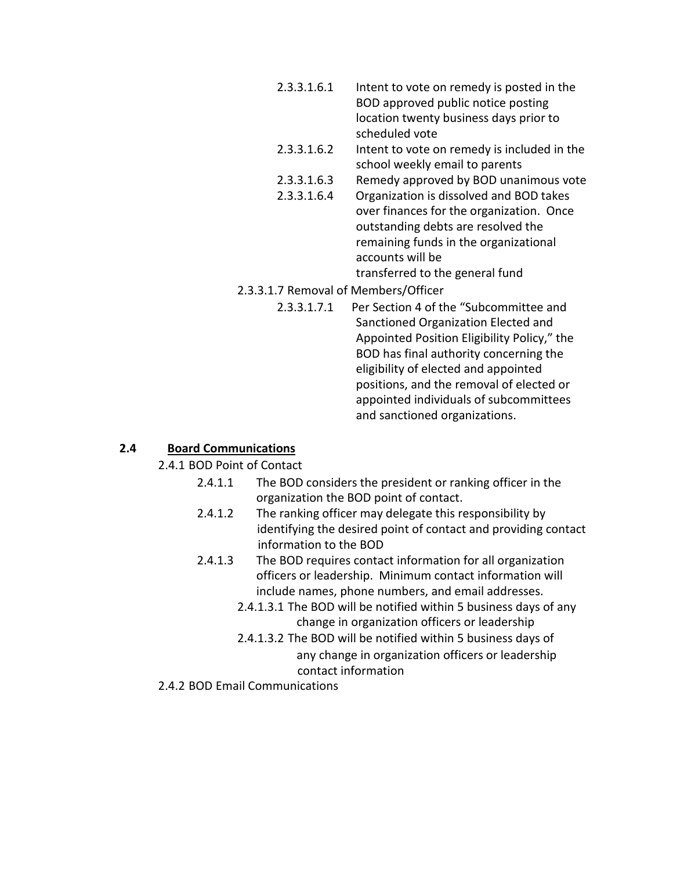- 2.3.3.1.6.1 Intent to vote on remedy is posted in the BOD approved public notice posting location twenty business days prior to scheduled vote
- 2.3.3.1.6.2 Intent to vote on remedy is included in the school weekly email to parents
- 2.3.3.1.6.3 Remedy approved by BOD unanimous vote
- 2.3.3.1.6.4 Organization is dissolved and BOD takes over finances for the organization. Once outstanding debts are resolved the remaining funds in the organizational accounts will be transferred to the general fund
- 2.3.3.1.7 Removal of Members/Officer
	- 2.3.3.1.7.1 Per Section 4 of the "Subcommittee and Sanctioned Organization Elected and Appointed Position Eligibility Policy," the BOD has final authority concerning the eligibility of elected and appointed positions, and the removal of elected or appointed individuals of subcommittees and sanctioned organizations.

### **2.4 Board Communications**

- 2.4.1 BOD Point of Contact
	- 2.4.1.1 The BOD considers the president or ranking officer in the organization the BOD point of contact.
	- 2.4.1.2 The ranking officer may delegate this responsibility by identifying the desired point of contact and providing contact information to the BOD
	- 2.4.1.3 The BOD requires contact information for all organization officers or leadership. Minimum contact information will include names, phone numbers, and email addresses.
		- 2.4.1.3.1 The BOD will be notified within 5 business days of any change in organization officers or leadership
		- 2.4.1.3.2 The BOD will be notified within 5 business days of any change in organization officers or leadership contact information
- 2.4.2 BOD Email Communications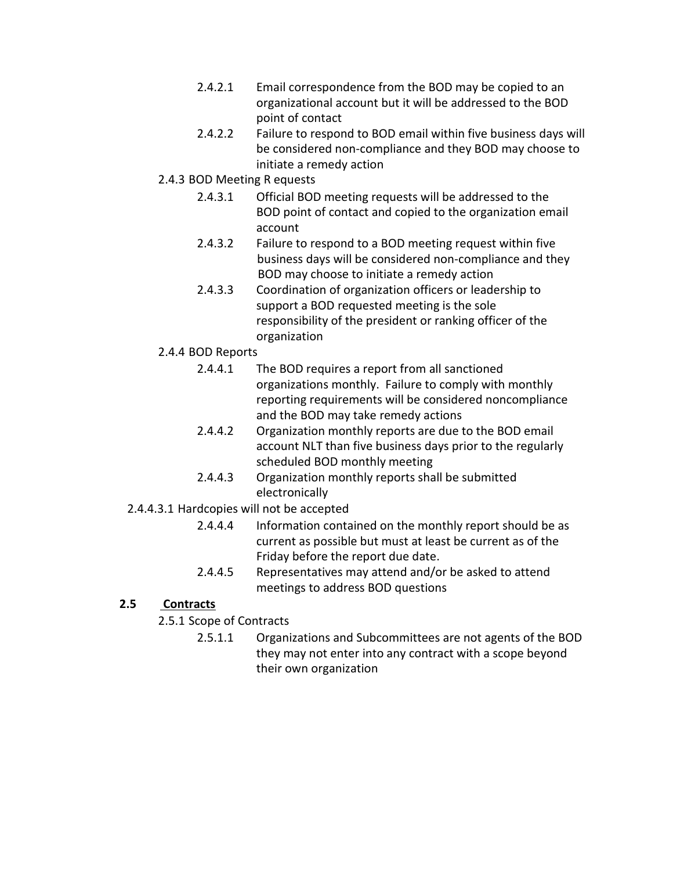- 2.4.2.1 Email correspondence from the BOD may be copied to an organizational account but it will be addressed to the BOD point of contact
- 2.4.2.2 Failure to respond to BOD email within five business days will be considered non-compliance and they BOD may choose to initiate a remedy action
- 2.4.3 BOD Meeting R equests
	- 2.4.3.1 Official BOD meeting requests will be addressed to the BOD point of contact and copied to the organization email account
	- 2.4.3.2 Failure to respond to a BOD meeting request within five business days will be considered non-compliance and they BOD may choose to initiate a remedy action
	- 2.4.3.3 Coordination of organization officers or leadership to support a BOD requested meeting is the sole responsibility of the president or ranking officer of the organization
- 2.4.4 BOD Reports
	- 2.4.4.1 The BOD requires a report from all sanctioned organizations monthly. Failure to comply with monthly reporting requirements will be considered noncompliance and the BOD may take remedy actions
	- 2.4.4.2 Organization monthly reports are due to the BOD email account NLT than five business days prior to the regularly scheduled BOD monthly meeting
	- 2.4.4.3 Organization monthly reports shall be submitted electronically
- 2.4.4.3.1 Hardcopies will not be accepted
	- 2.4.4.4 Information contained on the monthly report should be as current as possible but must at least be current as of the Friday before the report due date.
	- 2.4.4.5 Representatives may attend and/or be asked to attend meetings to address BOD questions

### **2.5 Contracts**

- 2.5.1 Scope of Contracts
	- 2.5.1.1 Organizations and Subcommittees are not agents of the BOD they may not enter into any contract with a scope beyond their own organization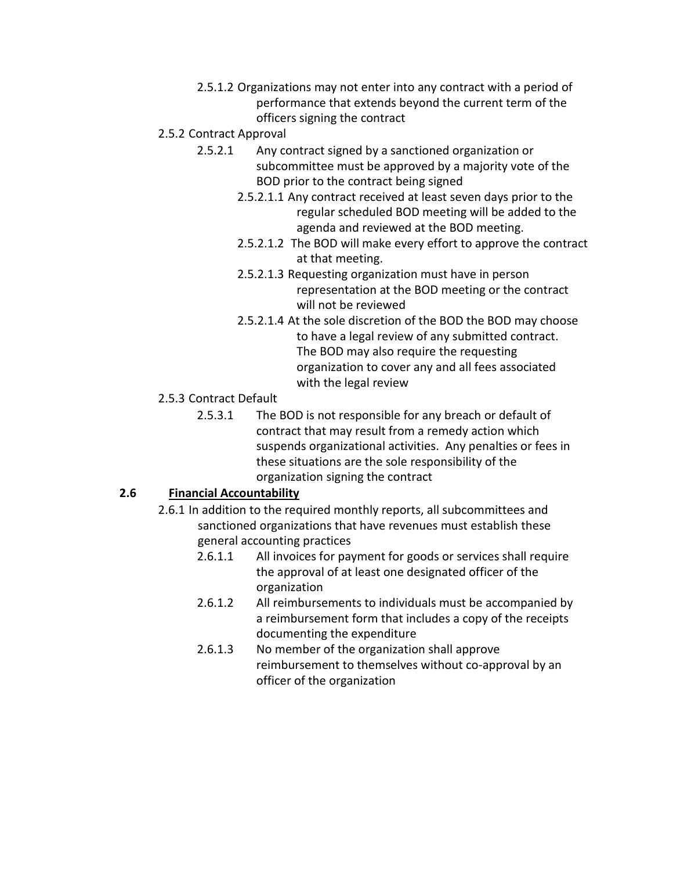- 2.5.1.2 Organizations may not enter into any contract with a period of performance that extends beyond the current term of the officers signing the contract
- 2.5.2 Contract Approval
	- 2.5.2.1 Any contract signed by a sanctioned organization or subcommittee must be approved by a majority vote of the BOD prior to the contract being signed
		- 2.5.2.1.1 Any contract received at least seven days prior to the regular scheduled BOD meeting will be added to the agenda and reviewed at the BOD meeting.
		- 2.5.2.1.2 The BOD will make every effort to approve the contract at that meeting.
		- 2.5.2.1.3 Requesting organization must have in person representation at the BOD meeting or the contract will not be reviewed
		- 2.5.2.1.4 At the sole discretion of the BOD the BOD may choose to have a legal review of any submitted contract. The BOD may also require the requesting organization to cover any and all fees associated with the legal review
- 2.5.3 Contract Default
	- 2.5.3.1 The BOD is not responsible for any breach or default of contract that may result from a remedy action which suspends organizational activities. Any penalties or fees in these situations are the sole responsibility of the organization signing the contract

## **2.6 Financial Accountability**

- 2.6.1 In addition to the required monthly reports, all subcommittees and sanctioned organizations that have revenues must establish these general accounting practices
	- 2.6.1.1 All invoices for payment for goods or services shall require the approval of at least one designated officer of the organization
	- 2.6.1.2 All reimbursements to individuals must be accompanied by a reimbursement form that includes a copy of the receipts documenting the expenditure
	- 2.6.1.3 No member of the organization shall approve reimbursement to themselves without co-approval by an officer of the organization